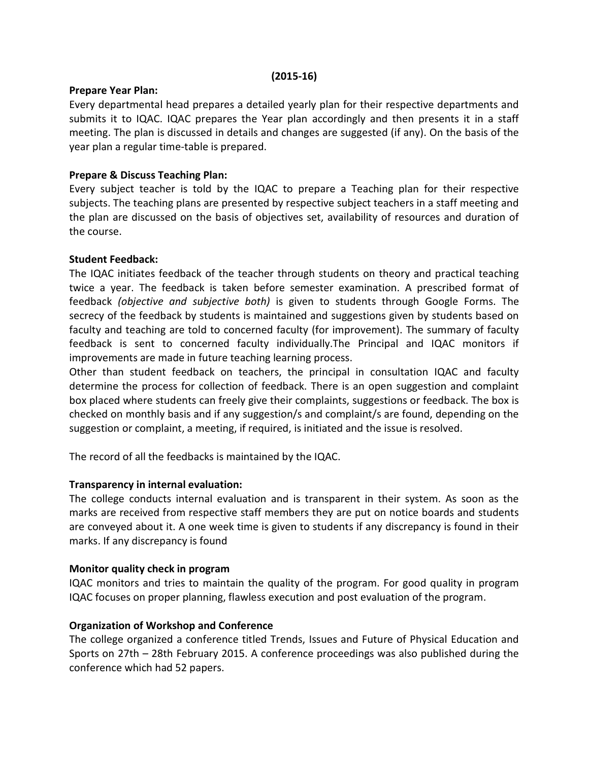#### (2015-16)

#### Prepare Year Plan:

Every departmental head prepares a detailed yearly plan for their respective departments and submits it to IQAC. IQAC prepares the Year plan accordingly and then presents it in a staff meeting. The plan is discussed in details and changes are suggested (if any). On the basis of the year plan a regular time-table is prepared.

## Prepare & Discuss Teaching Plan:

Every subject teacher is told by the IQAC to prepare a Teaching plan for their respective subjects. The teaching plans are presented by respective subject teachers in a staff meeting and the plan are discussed on the basis of objectives set, availability of resources and duration of the course.

### Student Feedback:

The IQAC initiates feedback of the teacher through students on theory and practical teaching twice a year. The feedback is taken before semester examination. A prescribed format of feedback (objective and subjective both) is given to students through Google Forms. The secrecy of the feedback by students is maintained and suggestions given by students based on faculty and teaching are told to concerned faculty (for improvement). The summary of faculty feedback is sent to concerned faculty individually.The Principal and IQAC monitors if improvements are made in future teaching learning process.

Other than student feedback on teachers, the principal in consultation IQAC and faculty determine the process for collection of feedback. There is an open suggestion and complaint box placed where students can freely give their complaints, suggestions or feedback. The box is checked on monthly basis and if any suggestion/s and complaint/s are found, depending on the suggestion or complaint, a meeting, if required, is initiated and the issue is resolved.

The record of all the feedbacks is maintained by the IQAC.

### Transparency in internal evaluation:

The college conducts internal evaluation and is transparent in their system. As soon as the marks are received from respective staff members they are put on notice boards and students are conveyed about it. A one week time is given to students if any discrepancy is found in their marks. If any discrepancy is found

### Monitor quality check in program

IQAC monitors and tries to maintain the quality of the program. For good quality in program IQAC focuses on proper planning, flawless execution and post evaluation of the program.

### Organization of Workshop and Conference

The college organized a conference titled Trends, Issues and Future of Physical Education and Sports on 27th – 28th February 2015. A conference proceedings was also published during the conference which had 52 papers.